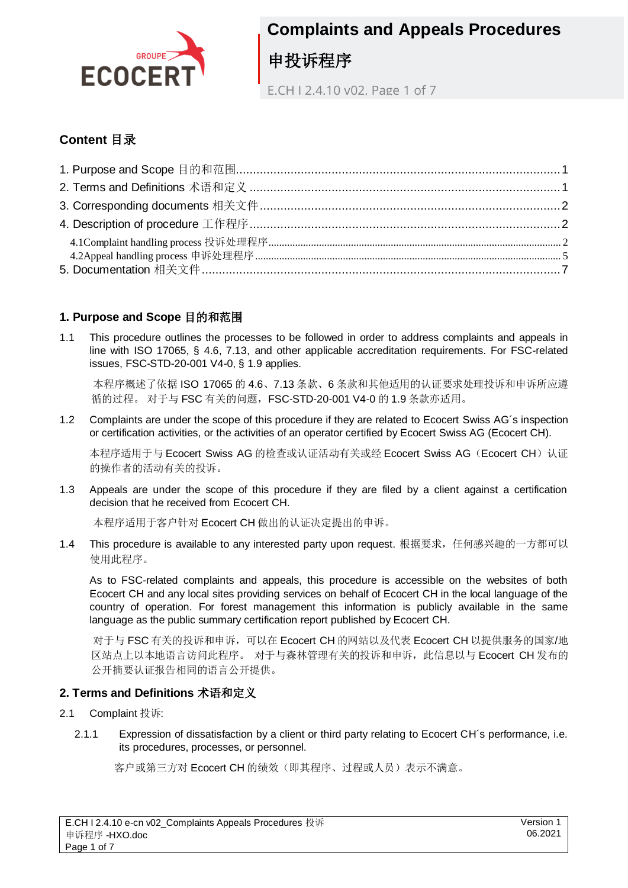

E.CH I 2.4.10 v02, Page 1 of 7

### **Content** 目录

### <span id="page-0-0"></span>**1. Purpose and Scope** 目的和范围

1.1 This procedure outlines the processes to be followed in order to address complaints and appeals in line with ISO 17065, § 4.6, 7.13, and other applicable accreditation requirements. For FSC-related issues, FSC-STD-20-001 V4-0, § 1.9 applies.

本程序概述了依据 ISO 17065 的 4.6、7.13 条款、6 条款和其他适用的认证要求处理投诉和申诉所应遵 循的过程。 对于与 FSC 有关的问题,FSC-STD-20-001 V4-0 的 1.9 条款亦适用。

1.2 Complaints are under the scope of this procedure if they are related to Ecocert Swiss AG´s inspection or certification activities, or the activities of an operator certified by Ecocert Swiss AG (Ecocert CH).

本程序适用于与 Ecocert Swiss AG 的检查或认证活动有关或经 Ecocert Swiss AG (Ecocert CH)认证 的操作者的活动有关的投诉。

1.3 Appeals are under the scope of this procedure if they are filed by a client against a certification decision that he received from Ecocert CH.

本程序适用于客户针对 Ecocert CH 做出的认证决定提出的申诉。

1.4 This procedure is available to any interested party upon request. 根据要求,任何感兴趣的一方都可以 使用此程序。

As to FSC-related complaints and appeals, this procedure is accessible on the websites of both Ecocert CH and any local sites providing services on behalf of Ecocert CH in the local language of the country of operation. For forest management this information is publicly available in the same language as the public summary certification report published by Ecocert CH.

对于与 FSC 有关的投诉和申诉,可以在 Ecocert CH 的网站以及代表 Ecocert CH 以提供服务的国家/地 区站点上以本地语言访问此程序。 对于与森林管理有关的投诉和申诉,此信息以与 Ecocert CH 发布的 公开摘要认证报告相同的语言公开提供。

#### <span id="page-0-1"></span>**2. Terms and Definitions** 术语和定义

- 2.1 Complaint 投诉:
	- 2.1.1 Expression of dissatisfaction by a client or third party relating to Ecocert CH´s performance, i.e. its procedures, processes, or personnel.

客户或第三方对 Ecocert CH 的绩效(即其程序、过程或人员)表示不满意。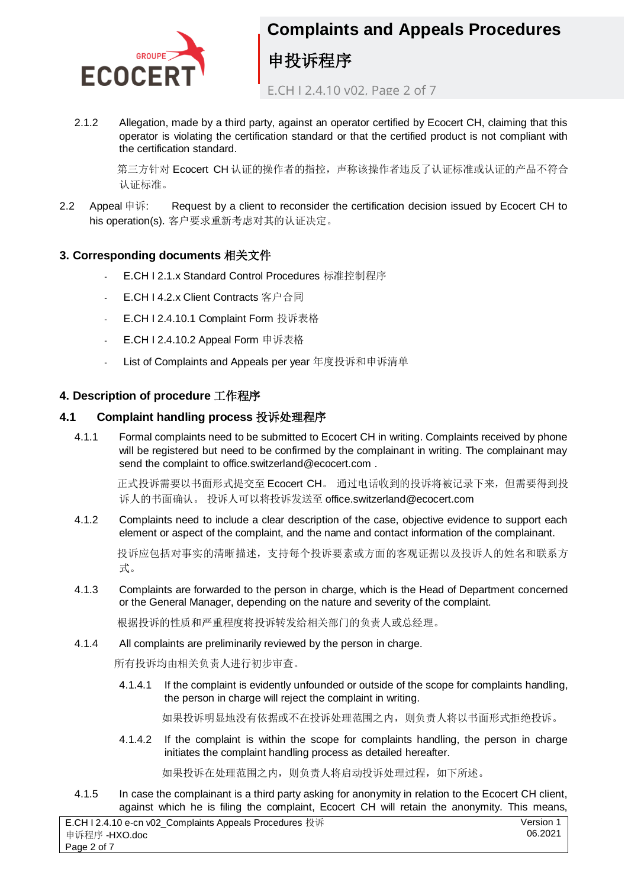

E.CH I 2.4.10 v02, Page 2 of 7

2.1.2 Allegation, made by a third party, against an operator certified by Ecocert CH, claiming that this operator is violating the certification standard or that the certified product is not compliant with the certification standard.

第三方针对 Ecocert CH 认证的操作者的指控,声称该操作者违反了认证标准或认证的产品不符合 认证标准。

2.2 Appeal 申诉: Request by a client to reconsider the certification decision issued by Ecocert CH to his operation(s). 客户要求重新考虑对其的认证决定。

### <span id="page-1-0"></span>**3. Corresponding documents** 相关文件

- E.CH I 2.1.x Standard Control Procedures 标准控制程序
- E.CH I 4.2.x Client Contracts 客户合同
- E.CH I 2.4.10.1 Complaint Form 投诉表格
- E.CH I 2.4.10.2 Appeal Form 申诉表格
- List of Complaints and Appeals per year 年度投诉和申诉清单

### <span id="page-1-1"></span>**4. Description of procedure** 工作程序

### <span id="page-1-2"></span>**4.1 Complaint handling process** 投诉处理程序

4.1.1 Formal complaints need to be submitted to Ecocert CH in writing. Complaints received by phone will be registered but need to be confirmed by the complainant in writing. The complainant may send the complaint to office.switzerland@ecocert.com .

正式投诉需要以书面形式提交至 Ecocert CH。 通过电话收到的投诉将被记录下来,但需要得到投 诉人的书面确认。 投诉人可以将投诉发送至 office.switzerland@ecocert.com

4.1.2 Complaints need to include a clear description of the case, objective evidence to support each element or aspect of the complaint, and the name and contact information of the complainant.

投诉应包括对事实的清晰描述,支持每个投诉要素或方面的客观证据以及投诉人的姓名和联系方 式。

4.1.3 Complaints are forwarded to the person in charge, which is the Head of Department concerned or the General Manager, depending on the nature and severity of the complaint.

根据投诉的性质和严重程度将投诉转发给相关部门的负责人或总经理。

4.1.4 All complaints are preliminarily reviewed by the person in charge.

所有投诉均由相关负责人进行初步审查。

4.1.4.1 If the complaint is evidently unfounded or outside of the scope for complaints handling, the person in charge will reject the complaint in writing.

如果投诉明显地没有依据或不在投诉处理范围之内,则负责人将以书面形式拒绝投诉。

4.1.4.2 If the complaint is within the scope for complaints handling, the person in charge initiates the complaint handling process as detailed hereafter.

如果投诉在处理范围之内,则负责人将启动投诉处理过程,如下所述。

4.1.5 In case the complainant is a third party asking for anonymity in relation to the Ecocert CH client, against which he is filing the complaint, Ecocert CH will retain the anonymity. This means,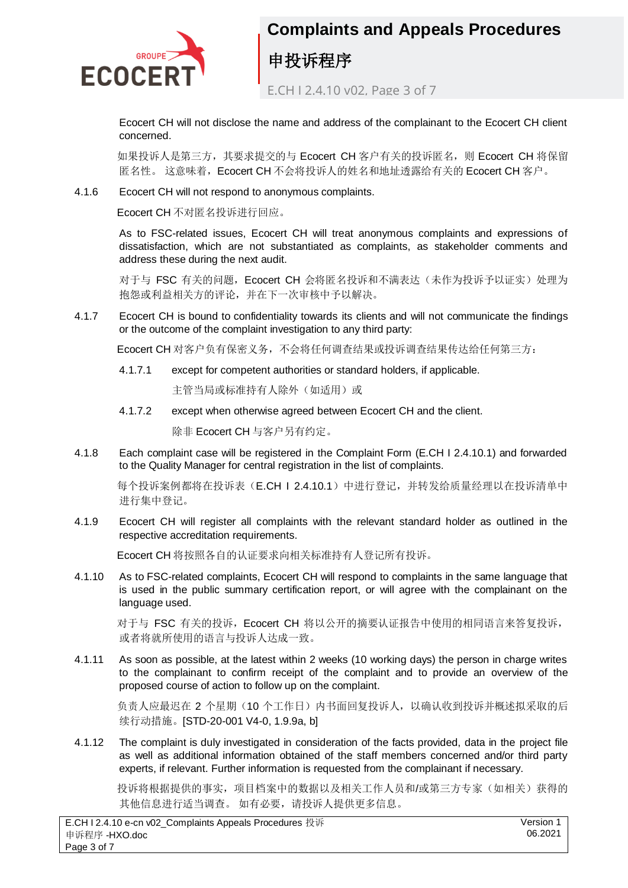

E.CH I 2.4.10 v02, Page 3 of 7

Ecocert CH will not disclose the name and address of the complainant to the Ecocert CH client concerned.

如果投诉人是第三方,其要求提交的与 Ecocert CH 客户有关的投诉匿名, 则 Ecocert CH 将保留 匿名性。 这意味着,Ecocert CH 不会将投诉人的姓名和地址透露给有关的 Ecocert CH 客户。

4.1.6 Ecocert CH will not respond to anonymous complaints.

Ecocert CH 不对匿名投诉进行回应。

As to FSC-related issues, Ecocert CH will treat anonymous complaints and expressions of dissatisfaction, which are not substantiated as complaints, as stakeholder comments and address these during the next audit.

对于与 FSC 有关的问题, Ecocert CH 会将匿名投诉和不满表达(未作为投诉予以证实)处理为 抱怨或利益相关方的评论,并在下一次审核中予以解决。

4.1.7 Ecocert CH is bound to confidentiality towards its clients and will not communicate the findings or the outcome of the complaint investigation to any third party:

Ecocert CH 对客户负有保密义务,不会将任何调查结果或投诉调查结果传达给任何第三方:

4.1.7.1 except for competent authorities or standard holders, if applicable.

主管当局或标准持有人除外(如适用)或

4.1.7.2 except when otherwise agreed between Ecocert CH and the client.

除非 Ecocert CH 与客户另有约定。

4.1.8 Each complaint case will be registered in the Complaint Form (E.CH I 2.4.10.1) and forwarded to the Quality Manager for central registration in the list of complaints.

每个投诉案例都将在投诉表(E.CH | 2.4.10.1)中进行登记,并转发给质量经理以在投诉清单中 进行集中登记。

4.1.9 Ecocert CH will register all complaints with the relevant standard holder as outlined in the respective accreditation requirements.

Ecocert CH 将按照各自的认证要求向相关标准持有人登记所有投诉。

4.1.10 As to FSC-related complaints, Ecocert CH will respond to complaints in the same language that is used in the public summary certification report, or will agree with the complainant on the language used.

对于与 FSC 有关的投诉, Ecocert CH 将以公开的摘要认证报告中使用的相同语言来答复投诉, 或者将就所使用的语言与投诉人达成一致。

4.1.11 As soon as possible, at the latest within 2 weeks (10 working days) the person in charge writes to the complainant to confirm receipt of the complaint and to provide an overview of the proposed course of action to follow up on the complaint.

负责人应最迟在 2 个星期(10 个工作日)内书面回复投诉人, 以确认收到投诉并概述拟采取的后 续行动措施。[STD-20-001 V4-0, 1.9.9a, b]

4.1.12 The complaint is duly investigated in consideration of the facts provided, data in the project file as well as additional information obtained of the staff members concerned and/or third party experts, if relevant. Further information is requested from the complainant if necessary.

投诉将根据提供的事实,项目档案中的数据以及相关工作人员和/或第三方专家(如相关)获得的 其他信息进行适当调查。 如有必要,请投诉人提供更多信息。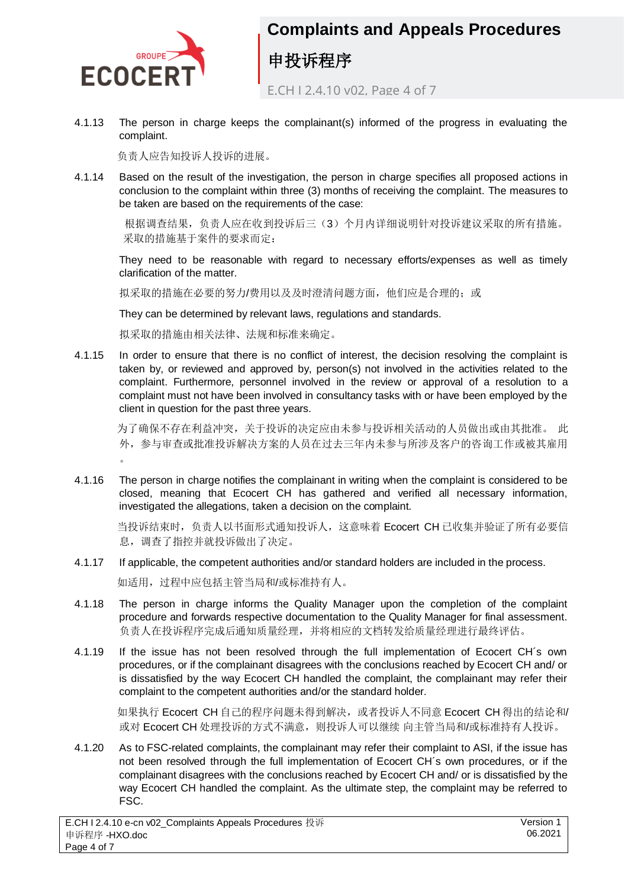

E.CH I 2.4.10 v02, Page 4 of 7

4.1.13 The person in charge keeps the complainant(s) informed of the progress in evaluating the complaint.

负责人应告知投诉人投诉的进展。

4.1.14 Based on the result of the investigation, the person in charge specifies all proposed actions in conclusion to the complaint within three (3) months of receiving the complaint. The measures to be taken are based on the requirements of the case:

根据调查结果,负责人应在收到投诉后三(3)个月内详细说明针对投诉建议采取的所有措施。 采取的措施基于案件的要求而定:

They need to be reasonable with regard to necessary efforts/expenses as well as timely clarification of the matter.

拟采取的措施在必要的努力/费用以及及时澄清问题方面,他们应是合理的;或

They can be determined by relevant laws, regulations and standards.

拟采取的措施由相关法律、法规和标准来确定。

4.1.15 In order to ensure that there is no conflict of interest, the decision resolving the complaint is taken by, or reviewed and approved by, person(s) not involved in the activities related to the complaint. Furthermore, personnel involved in the review or approval of a resolution to a complaint must not have been involved in consultancy tasks with or have been employed by the client in question for the past three years.

为了确保不存在利益冲突,关于投诉的决定应由未参与投诉相关活动的人员做出或由其批准。 此 外,参与审查或批准投诉解决方案的人员在过去三年内未参与所涉及客户的咨询工作或被其雇用  $\circ$ 

4.1.16 The person in charge notifies the complainant in writing when the complaint is considered to be closed, meaning that Ecocert CH has gathered and verified all necessary information, investigated the allegations, taken a decision on the complaint.

当投诉结束时,负责人以书面形式通知投诉人,这意味着 Ecocert CH 已收集并验证了所有必要信 息,调查了指控并就投诉做出了决定。

4.1.17 If applicable, the competent authorities and/or standard holders are included in the process.

如适用,过程中应包括主管当局和/或标准持有人。

- 4.1.18 The person in charge informs the Quality Manager upon the completion of the complaint procedure and forwards respective documentation to the Quality Manager for final assessment. 负责人在投诉程序完成后通知质量经理,并将相应的文档转发给质量经理进行最终评估。
- 4.1.19 If the issue has not been resolved through the full implementation of Ecocert CH´s own procedures, or if the complainant disagrees with the conclusions reached by Ecocert CH and/ or is dissatisfied by the way Ecocert CH handled the complaint, the complainant may refer their complaint to the competent authorities and/or the standard holder.

如果执行 Ecocert CH 自己的程序问题未得到解决,或者投诉人不同意 Ecocert CH 得出的结论和/ 或对 Ecocert CH 处理投诉的方式不满意,则投诉人可以继续 向主管当局和/或标准持有人投诉。

4.1.20 As to FSC-related complaints, the complainant may refer their complaint to ASI, if the issue has not been resolved through the full implementation of Ecocert CH´s own procedures, or if the complainant disagrees with the conclusions reached by Ecocert CH and/ or is dissatisfied by the way Ecocert CH handled the complaint. As the ultimate step, the complaint may be referred to FSC.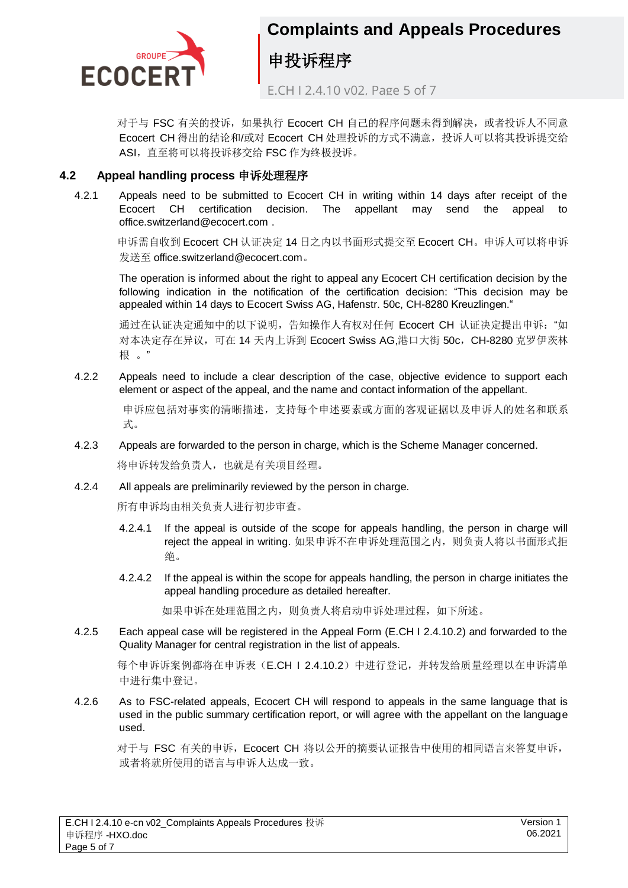

E.CH I 2.4.10 v02, Page 5 of 7

对于与 FSC 有关的投诉,如果执行 Ecocert CH 自己的程序问题未得到解决,或者投诉人不同意 Ecocert CH 得出的结论和/或对 Ecocert CH 处理投诉的方式不满意, 投诉人可以将其投诉提交给 ASI,直至将可以将投诉移交给 FSC 作为终极投诉。

#### <span id="page-4-0"></span>**4.2 Appeal handling process** 申诉处理程序

4.2.1 Appeals need to be submitted to Ecocert CH in writing within 14 days after receipt of the Ecocert CH certification decision. The appellant may send the appeal to office.switzerland@ecocert.com .

申诉需自收到 Ecocert CH 认证决定 14 日之内以书面形式提交至 Ecocert CH。申诉人可以将申诉 发送至 office.switzerland@ecocert.com。

The operation is informed about the right to appeal any Ecocert CH certification decision by the following indication in the notification of the certification decision: "This decision may be appealed within 14 days to Ecocert Swiss AG, Hafenstr. 50c, CH-8280 Kreuzlingen."

通过在认证决定通知中的以下说明,告知操作人有权对任何 Ecocert CH 认证决定提出申诉: "如 对本决定存在异议,可在 14 天内上诉到 Ecocert Swiss AG,港口大街 50c, CH-8280 克罗伊茨林 根 。"

4.2.2 Appeals need to include a clear description of the case, objective evidence to support each element or aspect of the appeal, and the name and contact information of the appellant.

申诉应包括对事实的清晰描述,支持每个申述要素或方面的客观证据以及申诉人的姓名和联系 式。

4.2.3 Appeals are forwarded to the person in charge, which is the Scheme Manager concerned.

将申诉转发给负责人,也就是有关项目经理。

4.2.4 All appeals are preliminarily reviewed by the person in charge.

所有申诉均由相关负责人进行初步审查。

- 4.2.4.1 If the appeal is outside of the scope for appeals handling, the person in charge will reject the appeal in writing. 如果申诉不在申诉处理范围之内, 则负责人将以书面形式拒 绝。
- 4.2.4.2 If the appeal is within the scope for appeals handling, the person in charge initiates the appeal handling procedure as detailed hereafter.

如果申诉在处理范围之内,则负责人将启动申诉处理过程,如下所述。

4.2.5 Each appeal case will be registered in the Appeal Form (E.CH I 2.4.10.2) and forwarded to the Quality Manager for central registration in the list of appeals.

每个申诉诉案例都将在申诉表(E.CH | 2.4.10.2)中讲行登记,并转发给质量经理以在申诉清单 中进行集中登记。

4.2.6 As to FSC-related appeals, Ecocert CH will respond to appeals in the same language that is used in the public summary certification report, or will agree with the appellant on the language used.

对于与 FSC 有关的申诉, Ecocert CH 将以公开的摘要认证报告中使用的相同语言来答复申诉, 或者将就所使用的语言与申诉人达成一致。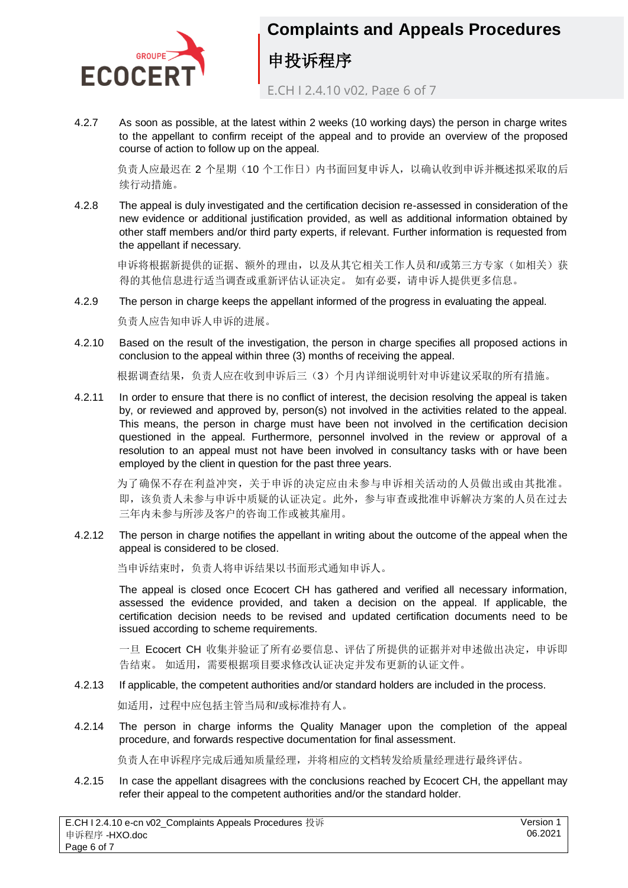

E.CH I 2.4.10 v02, Page 6 of 7

4.2.7 As soon as possible, at the latest within 2 weeks (10 working days) the person in charge writes to the appellant to confirm receipt of the appeal and to provide an overview of the proposed course of action to follow up on the appeal.

负责人应最迟在 2 个星期(10个工作日)内书面回复申诉人, 以确认收到申诉并概述拟采取的后 续行动措施。

4.2.8 The appeal is duly investigated and the certification decision re-assessed in consideration of the new evidence or additional justification provided, as well as additional information obtained by other staff members and/or third party experts, if relevant. Further information is requested from the appellant if necessary.

申诉将根据新提供的证据、额外的理由,以及从其它相关工作人员和/或第三方专家(如相关)获 得的其他信息进行适当调查或重新评估认证决定。 如有必要,请申诉人提供更多信息。

4.2.9 The person in charge keeps the appellant informed of the progress in evaluating the appeal.

负责人应告知申诉人申诉的进展。

4.2.10 Based on the result of the investigation, the person in charge specifies all proposed actions in conclusion to the appeal within three (3) months of receiving the appeal.

根据调查结果,负责人应在收到申诉后三(3)个月内详细说明针对申诉建议采取的所有措施。

4.2.11 In order to ensure that there is no conflict of interest, the decision resolving the appeal is taken by, or reviewed and approved by, person(s) not involved in the activities related to the appeal. This means, the person in charge must have been not involved in the certification decision questioned in the appeal. Furthermore, personnel involved in the review or approval of a resolution to an appeal must not have been involved in consultancy tasks with or have been employed by the client in question for the past three years.

为了确保不存在利益冲突,关于申诉的决定应由未参与申诉相关活动的人员做出或由其批准。 即,该负责人未参与申诉中质疑的认证决定。此外,参与审查或批准申诉解决方案的人员在过去 三年内未参与所涉及客户的咨询工作或被其雇用。

4.2.12 The person in charge notifies the appellant in writing about the outcome of the appeal when the appeal is considered to be closed.

当申诉结束时,负责人将申诉结果以书面形式通知申诉人。

The appeal is closed once Ecocert CH has gathered and verified all necessary information, assessed the evidence provided, and taken a decision on the appeal. If applicable, the certification decision needs to be revised and updated certification documents need to be issued according to scheme requirements.

一旦 Ecocert CH 收集并验证了所有必要信息、评估了所提供的证据并对申述做出决定, 申诉即 告结束。 如适用,需要根据项目要求修改认证决定并发布更新的认证文件。

4.2.13 If applicable, the competent authorities and/or standard holders are included in the process.

如适用,过程中应包括主管当局和/或标准持有人。

4.2.14 The person in charge informs the Quality Manager upon the completion of the appeal procedure, and forwards respective documentation for final assessment.

负责人在申诉程序完成后通知质量经理,并将相应的文档转发给质量经理进行最终评估。

4.2.15 In case the appellant disagrees with the conclusions reached by Ecocert CH, the appellant may refer their appeal to the competent authorities and/or the standard holder.